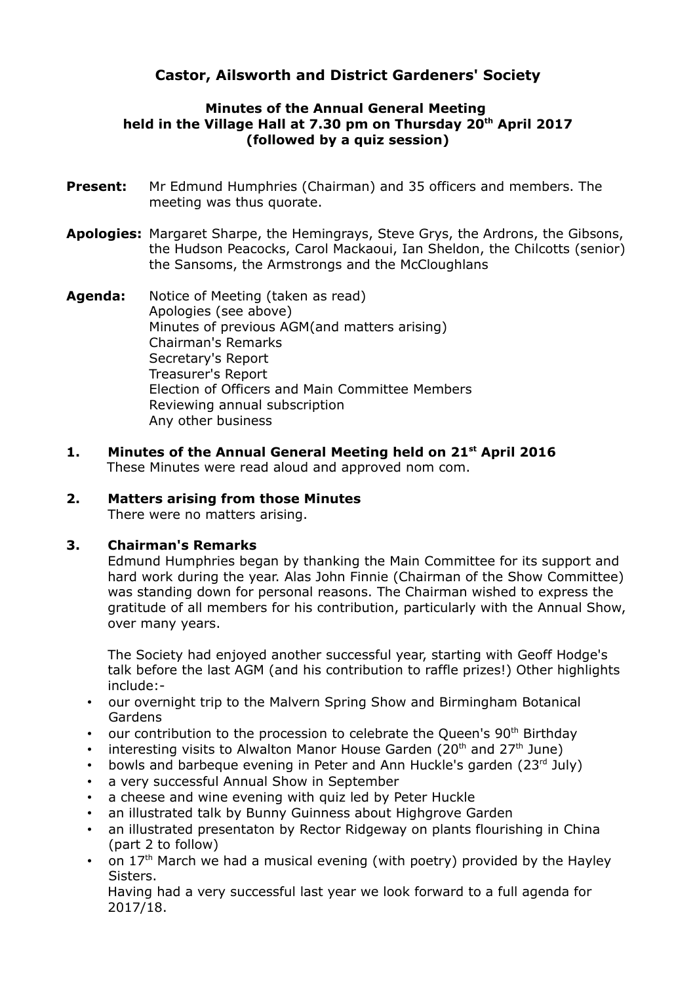# **Castor, Ailsworth and District Gardeners' Society**

## **Minutes of the Annual General Meeting held in the Village Hall at 7.30 pm on Thursday 20th April 2017 (followed by a quiz session)**

- **Present:** Mr Edmund Humphries (Chairman) and 35 officers and members. The meeting was thus quorate.
- **Apologies:** Margaret Sharpe, the Hemingrays, Steve Grys, the Ardrons, the Gibsons, the Hudson Peacocks, Carol Mackaoui, Ian Sheldon, the Chilcotts (senior) the Sansoms, the Armstrongs and the McCloughlans
- **Agenda:** Notice of Meeting (taken as read) Apologies (see above) Minutes of previous AGM(and matters arising) Chairman's Remarks Secretary's Report Treasurer's Report Election of Officers and Main Committee Members Reviewing annual subscription Any other business
- **1. Minutes of the Annual General Meeting held on 21st April 2016** These Minutes were read aloud and approved nom com.

## **2. Matters arising from those Minutes**

There were no matters arising.

## **3. Chairman's Remarks**

Edmund Humphries began by thanking the Main Committee for its support and hard work during the year. Alas John Finnie (Chairman of the Show Committee) was standing down for personal reasons. The Chairman wished to express the gratitude of all members for his contribution, particularly with the Annual Show, over many years.

The Society had enjoyed another successful year, starting with Geoff Hodge's talk before the last AGM (and his contribution to raffle prizes!) Other highlights include:-

- our overnight trip to the Malvern Spring Show and Birmingham Botanical Gardens
- our contribution to the procession to celebrate the Queen's 90<sup>th</sup> Birthday
- interesting visits to Alwalton Manor House Garden (20<sup>th</sup> and 27<sup>th</sup> June)
- bowls and barbeque evening in Peter and Ann Huckle's garden (23rd July)
- a very successful Annual Show in September
- a cheese and wine evening with quiz led by Peter Huckle
- an illustrated talk by Bunny Guinness about Highgrove Garden
- an illustrated presentaton by Rector Ridgeway on plants flourishing in China (part 2 to follow)
- on  $17<sup>th</sup>$  March we had a musical evening (with poetry) provided by the Hayley Sisters.

Having had a very successful last year we look forward to a full agenda for 2017/18.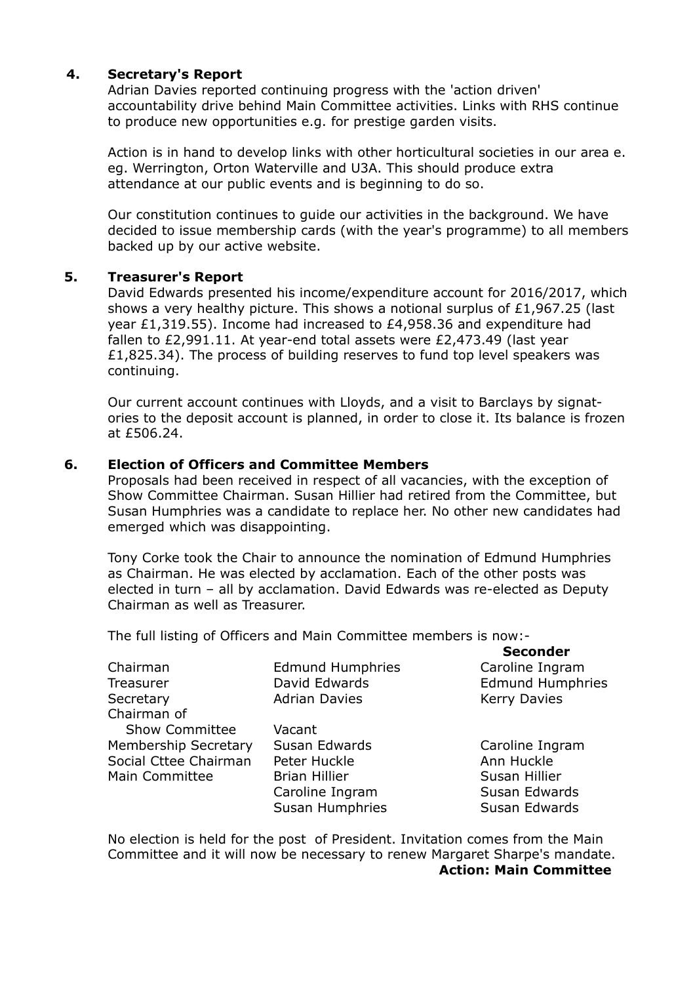#### **4. Secretary's Report**

Adrian Davies reported continuing progress with the 'action driven' accountability drive behind Main Committee activities. Links with RHS continue to produce new opportunities e.g. for prestige garden visits.

Action is in hand to develop links with other horticultural societies in our area e. eg. Werrington, Orton Waterville and U3A. This should produce extra attendance at our public events and is beginning to do so.

Our constitution continues to guide our activities in the background. We have decided to issue membership cards (with the year's programme) to all members backed up by our active website.

#### **5. Treasurer's Report**

David Edwards presented his income/expenditure account for 2016/2017, which shows a very healthy picture. This shows a notional surplus of £1,967.25 (last year £1,319.55). Income had increased to £4,958.36 and expenditure had fallen to £2,991.11. At year-end total assets were £2,473.49 (last year £1,825.34). The process of building reserves to fund top level speakers was continuing.

Our current account continues with Lloyds, and a visit to Barclays by signatories to the deposit account is planned, in order to close it. Its balance is frozen at at £506.24.

#### **6. Election of Officers and Committee Members**

Proposals had been received in respect of all vacancies, with the exception of Show Committee Chairman. Susan Hillier had retired from the Committee, but Susan Humphries was a candidate to replace her. No other new candidates had emerged which was disappointing.

Tony Corke took the Chair to announce the nomination of Edmund Humphries as Chairman. He was elected by acclamation. Each of the other posts was elected in turn – all by acclamation. David Edwards was re-elected as Deputy Ch Chairman as well as Treasurer.

The full listing of Officers and Main Committee members is now:-

|                             |                         | <b>Seconder</b>         |
|-----------------------------|-------------------------|-------------------------|
| Chairman                    | <b>Edmund Humphries</b> | Caroline Ingram         |
| Treasurer                   | David Edwards           | <b>Edmund Humphries</b> |
| Secretary                   | <b>Adrian Davies</b>    | <b>Kerry Davies</b>     |
| Chairman of                 |                         |                         |
| <b>Show Committee</b>       | Vacant                  |                         |
| <b>Membership Secretary</b> | Susan Edwards           | Caroline Ingram         |
| Social Cttee Chairman       | Peter Huckle            | Ann Huckle              |
| Main Committee              | <b>Brian Hillier</b>    | Susan Hillier           |
|                             | Caroline Ingram         | Susan Edwards           |
|                             | Susan Humphries         | Susan Edwards           |
|                             |                         |                         |

No election is held for the post of President. Invitation comes from the Main Committee and it will now be necessary to renew Margaret Sharpe's mandate. **Action: Main Committee**